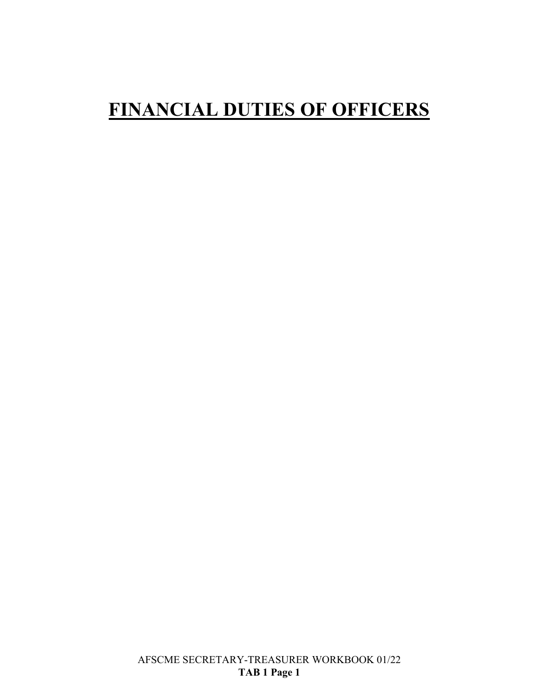# **FINANCIAL DUTIES OF OFFICERS**

AFSCME SECRETARY-TREASURER WORKBOOK 01/22 **TAB 1 Page 1**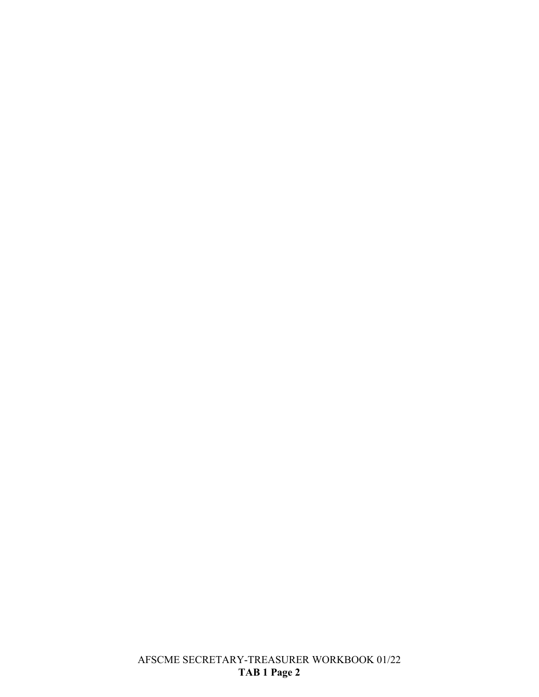#### AFSCME SECRETARY-TREASURER WORKBOOK 01/22 **TAB 1 Page 2**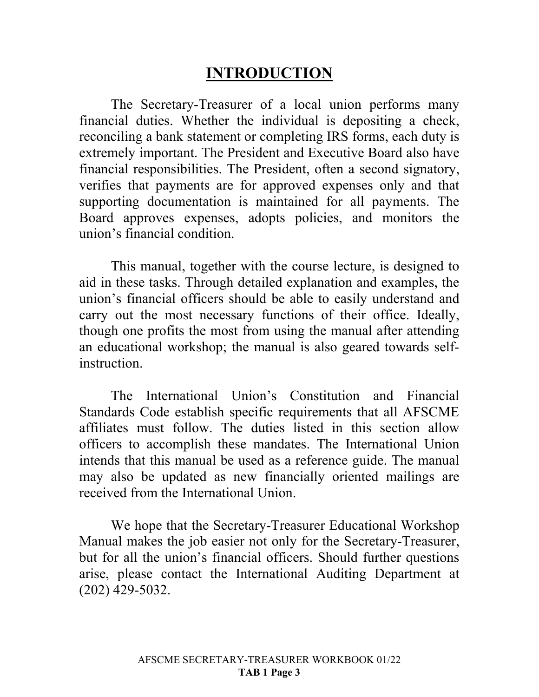# **INTRODUCTION**

The Secretary-Treasurer of a local union performs many financial duties. Whether the individual is depositing a check, reconciling a bank statement or completing IRS forms, each duty is extremely important. The President and Executive Board also have financial responsibilities. The President, often a second signatory, verifies that payments are for approved expenses only and that supporting documentation is maintained for all payments. The Board approves expenses, adopts policies, and monitors the union's financial condition.

This manual, together with the course lecture, is designed to aid in these tasks. Through detailed explanation and examples, the union's financial officers should be able to easily understand and carry out the most necessary functions of their office. Ideally, though one profits the most from using the manual after attending an educational workshop; the manual is also geared towards selfinstruction.

The International Union's Constitution and Financial Standards Code establish specific requirements that all AFSCME affiliates must follow. The duties listed in this section allow officers to accomplish these mandates. The International Union intends that this manual be used as a reference guide. The manual may also be updated as new financially oriented mailings are received from the International Union.

We hope that the Secretary-Treasurer Educational Workshop Manual makes the job easier not only for the Secretary-Treasurer, but for all the union's financial officers. Should further questions arise, please contact the International Auditing Department at (202) 429-5032.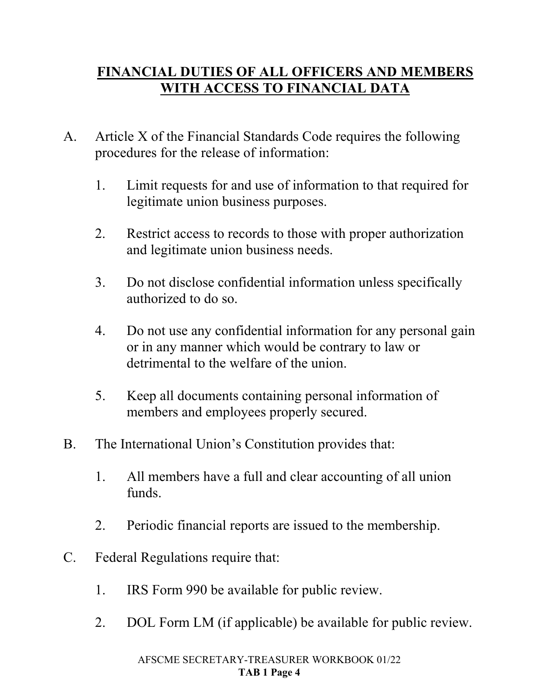#### **FINANCIAL DUTIES OF ALL OFFICERS AND MEMBERS WITH ACCESS TO FINANCIAL DATA**

- A. Article X of the Financial Standards Code requires the following procedures for the release of information:
	- 1. Limit requests for and use of information to that required for legitimate union business purposes.
	- 2. Restrict access to records to those with proper authorization and legitimate union business needs.
	- 3. Do not disclose confidential information unless specifically authorized to do so.
	- 4. Do not use any confidential information for any personal gain or in any manner which would be contrary to law or detrimental to the welfare of the union.
	- 5. Keep all documents containing personal information of members and employees properly secured.
- B. The International Union's Constitution provides that:
	- 1. All members have a full and clear accounting of all union funds.
	- 2. Periodic financial reports are issued to the membership.
- C. Federal Regulations require that:
	- 1. IRS Form 990 be available for public review.
	- 2. DOL Form LM (if applicable) be available for public review.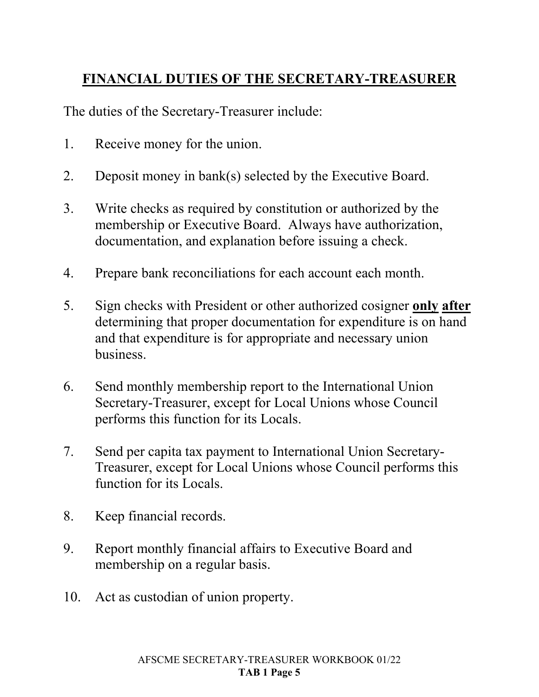# **FINANCIAL DUTIES OF THE SECRETARY-TREASURER**

The duties of the Secretary-Treasurer include:

- 1. Receive money for the union.
- 2. Deposit money in bank(s) selected by the Executive Board.
- 3. Write checks as required by constitution or authorized by the membership or Executive Board. Always have authorization, documentation, and explanation before issuing a check.
- 4. Prepare bank reconciliations for each account each month.
- 5. Sign checks with President or other authorized cosigner **only after** determining that proper documentation for expenditure is on hand and that expenditure is for appropriate and necessary union business.
- 6. Send monthly membership report to the International Union Secretary-Treasurer, except for Local Unions whose Council performs this function for its Locals.
- 7. Send per capita tax payment to International Union Secretary-Treasurer, except for Local Unions whose Council performs this function for its Locals.
- 8. Keep financial records.
- 9. Report monthly financial affairs to Executive Board and membership on a regular basis.
- 10. Act as custodian of union property.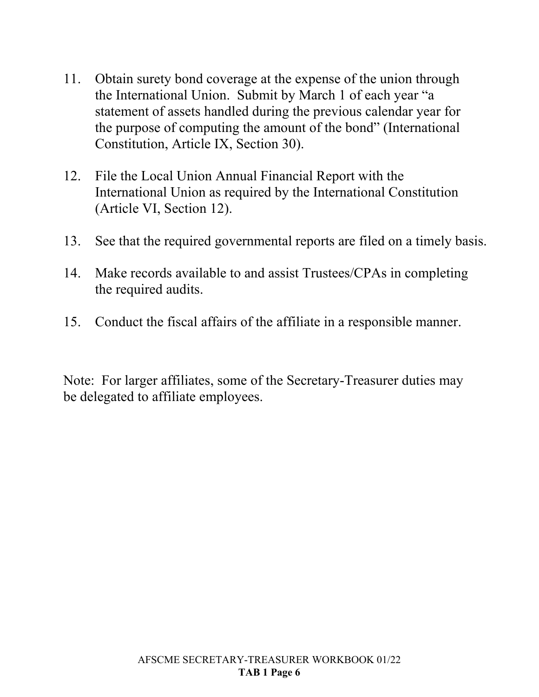- 11. Obtain surety bond coverage at the expense of the union through the International Union. Submit by March 1 of each year "a statement of assets handled during the previous calendar year for the purpose of computing the amount of the bond" (International Constitution, Article IX, Section 30).
- 12. File the Local Union Annual Financial Report with the International Union as required by the International Constitution (Article VI, Section 12).
- 13. See that the required governmental reports are filed on a timely basis.
- 14. Make records available to and assist Trustees/CPAs in completing the required audits.
- 15. Conduct the fiscal affairs of the affiliate in a responsible manner.

Note: For larger affiliates, some of the Secretary-Treasurer duties may be delegated to affiliate employees.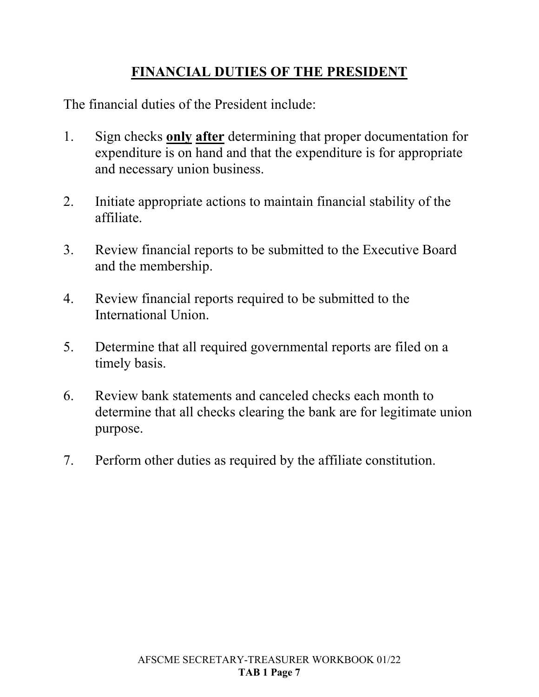## **FINANCIAL DUTIES OF THE PRESIDENT**

The financial duties of the President include:

- 1. Sign checks **only after** determining that proper documentation for expenditure is on hand and that the expenditure is for appropriate and necessary union business.
- 2. Initiate appropriate actions to maintain financial stability of the affiliate.
- 3. Review financial reports to be submitted to the Executive Board and the membership.
- 4. Review financial reports required to be submitted to the International Union.
- 5. Determine that all required governmental reports are filed on a timely basis.
- 6. Review bank statements and canceled checks each month to determine that all checks clearing the bank are for legitimate union purpose.
- 7. Perform other duties as required by the affiliate constitution.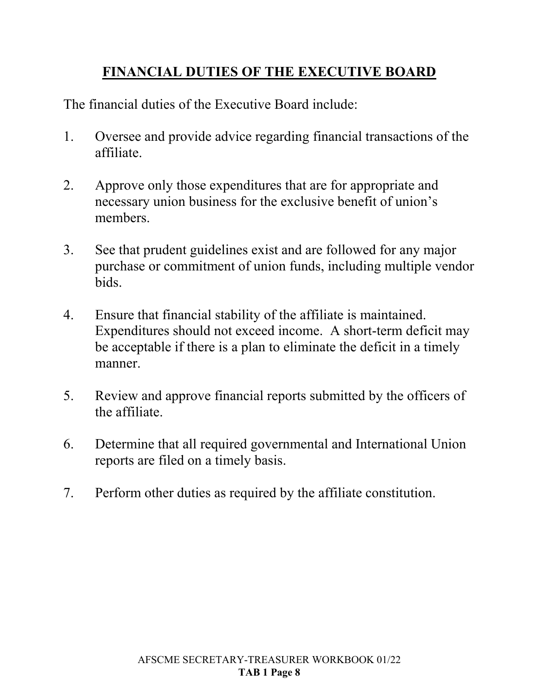### **FINANCIAL DUTIES OF THE EXECUTIVE BOARD**

The financial duties of the Executive Board include:

- 1. Oversee and provide advice regarding financial transactions of the affiliate.
- 2. Approve only those expenditures that are for appropriate and necessary union business for the exclusive benefit of union's members.
- 3. See that prudent guidelines exist and are followed for any major purchase or commitment of union funds, including multiple vendor bids.
- 4. Ensure that financial stability of the affiliate is maintained. Expenditures should not exceed income. A short-term deficit may be acceptable if there is a plan to eliminate the deficit in a timely manner.
- 5. Review and approve financial reports submitted by the officers of the affiliate.
- 6. Determine that all required governmental and International Union reports are filed on a timely basis.
- 7. Perform other duties as required by the affiliate constitution.